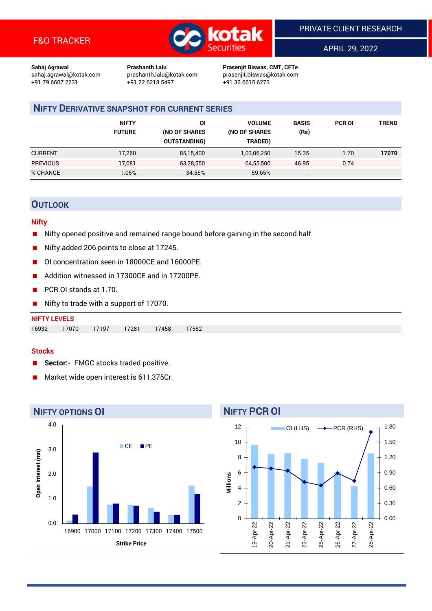

APRIL 29, 2022

**Sahaj Agrawal Prashanth Lalu Prasenjit Biswas, CMT, CFTe** +91 22 6218 5497 +91 33 6615 6273

sahaj.agrawal@kotak.com [prashanth.lalu@kotak.com](mailto:prashanth.lalu@kotak.com) prasenjit.biswas@kotak.com

## **NIFTY DERIVATIVE SNAPSHOT FOR CURRENT SERIES**

|                 | <b>NIFTY</b><br><b>FUTURE</b> | ΟI<br>(NO OF SHARES<br><b>OUTSTANDING)</b> | <b>VOLUME</b><br>(NO OF SHARES<br>TRADED) | <b>BASIS</b><br>(Rs)     | <b>PCR OI</b> | TREND |
|-----------------|-------------------------------|--------------------------------------------|-------------------------------------------|--------------------------|---------------|-------|
| <b>CURRENT</b>  | 17,260                        | 85,15,400                                  | 1,03,06,250                               | 15.35                    | 1.70          | 17070 |
| <b>PREVIOUS</b> | 17,081                        | 63,28,550                                  | 64.55.500                                 | 46.95                    | 0.74          |       |
| % CHANGE        | $1.05\%$                      | 34.56%                                     | 59.65%                                    | $\overline{\phantom{a}}$ |               |       |

## **OUTLOOK**

#### **Nifty**

- $\blacksquare$  Nifty opened positive and remained range bound before gaining in the second half.
- Nifty added 206 points to close at 17245.
- OI concentration seen in 18000CE and 16000PE.
- Addition witnessed in 17300CE and in 17200PE.
- PCR OI stands at 1.70.
- Nifty to trade with a support of 17070.

#### **Stocks**

- **Sector:-** FMGC stocks traded positive.
- Market wide open interest is 611,375Cr.



## **NIFTY PCR OI**

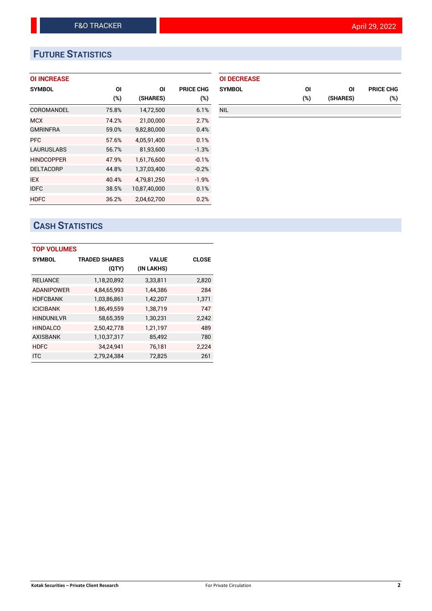# **FUTURE STATISTICS**

#### **OI INCREASE**

| <b>SYMBOL</b>     | ΟI    | ΟI           | <b>PRICE CHG</b> |
|-------------------|-------|--------------|------------------|
|                   | (%)   | (SHARES)     | (%)              |
| COROMANDEL        | 75.8% | 14,72,500    | 6.1%             |
| <b>MCX</b>        | 74.2% | 21,00,000    | 2.7%             |
| <b>GMRINFRA</b>   | 59.0% | 9,82,80,000  | 0.4%             |
| <b>PFC</b>        | 57.6% | 4,05,91,400  | 0.1%             |
| <b>LAURUSLABS</b> | 56.7% | 81,93,600    | $-1.3%$          |
| <b>HINDCOPPER</b> | 47.9% | 1,61,76,600  | $-0.1%$          |
| <b>DELTACORP</b>  | 44.8% | 1,37,03,400  | $-0.2%$          |
| <b>IEX</b>        | 40.4% | 4,79,81,250  | $-1.9%$          |
| <b>IDFC</b>       | 38.5% | 10,87,40,000 | 0.1%             |
| <b>HDFC</b>       | 36.2% | 2,04,62,700  | 0.2%             |

| <b>OI DECREASE</b> |     |          |                  |
|--------------------|-----|----------|------------------|
| <b>SYMBOL</b>      | ΟI  | ΩI       | <b>PRICE CHG</b> |
|                    | (%) | (SHARES) | (%)              |
| <b>NIL</b>         |     |          |                  |

# **CASH STATISTICS**

| <b>TOP VOLUMES</b> |                      |            |              |  |  |  |  |  |
|--------------------|----------------------|------------|--------------|--|--|--|--|--|
| <b>SYMBOL</b>      | <b>TRADED SHARES</b> | VALUE      | <b>CLOSE</b> |  |  |  |  |  |
|                    | (QTY)                | (IN LAKHS) |              |  |  |  |  |  |
| <b>RELIANCE</b>    | 1,18,20,892          | 3,33,811   | 2,820        |  |  |  |  |  |
| <b>ADANIPOWER</b>  | 4,84,65,993          | 1,44,386   | 284          |  |  |  |  |  |
| <b>HDFCBANK</b>    | 1,03,86,861          | 1,42,207   | 1,371        |  |  |  |  |  |
| <b>ICICIBANK</b>   | 1,86,49,559          | 1,38,719   | 747          |  |  |  |  |  |
| <b>HINDUNILVR</b>  | 58,65,359            | 1,30,231   | 2,242        |  |  |  |  |  |
| <b>HINDALCO</b>    | 2,50,42,778          | 1,21,197   | 489          |  |  |  |  |  |
| <b>AXISBANK</b>    | 1,10,37,317          | 85,492     | 780          |  |  |  |  |  |
| <b>HDFC</b>        | 34.24.941            | 76,181     | 2.224        |  |  |  |  |  |
| <b>ITC</b>         | 2.79.24.384          | 72.825     | 261          |  |  |  |  |  |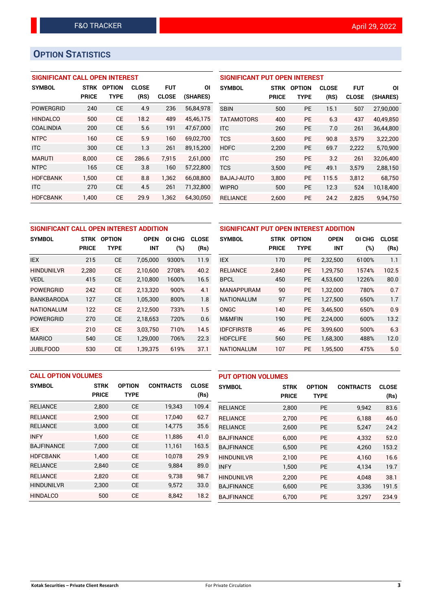# **OPTION STATISTICS**

### **SIGNIFICANT CALL OPEN INTEREST**

| <b>SYMBOL</b>    | <b>STRK</b>  | OPTION    | <b>CLOSE</b> | <b>FUT</b>   | ΟI        |
|------------------|--------------|-----------|--------------|--------------|-----------|
|                  | <b>PRICE</b> | TYPE      | (RS)         | <b>CLOSE</b> | (SHARES)  |
| <b>POWERGRID</b> | 240          | <b>CE</b> | 4.9          | 236          | 56,84,978 |
| <b>HINDALCO</b>  | 500          | CF        | 18.2         | 489          | 45,46,175 |
| COALINDIA        | 200          | <b>CE</b> | 5.6          | 191          | 47,67,000 |
| <b>NTPC</b>      | 160          | CF        | 5.9          | 160          | 69,02,700 |
| <b>ITC</b>       | 300          | <b>CE</b> | 1.3          | 261          | 89,15,200 |
| <b>MARUTI</b>    | 8.000        | CE        | 286.6        | 7.915        | 2,61,000  |
| <b>NTPC</b>      | 165          | <b>CE</b> | 3.8          | 160          | 57,22,800 |
| <b>HDFCBANK</b>  | 1.500        | <b>CE</b> | 8.8          | 1.362        | 66,08,800 |
| <b>ITC</b>       | 270          | <b>CE</b> | 4.5          | 261          | 71,32,800 |
| <b>HDFCBANK</b>  | 1.400        | <b>CE</b> | 29.9         | 1.362        | 64,30,050 |

#### **SIGNIFICANT PUT OPEN INTEREST**

| <b>SYMBOL</b>     | <b>STRK</b><br><b>PRICE</b> | <b>OPTION</b><br><b>TYPE</b> | <b>CLOSE</b><br>(RS) | <b>FUT</b><br><b>CLOSE</b> | ΟI<br>(SHARES) |
|-------------------|-----------------------------|------------------------------|----------------------|----------------------------|----------------|
| <b>SBIN</b>       | 500                         | PF                           | 15.1                 | 507                        | 27,90,000      |
| <b>TATAMOTORS</b> | 400                         | PF                           | 6.3                  | 437                        | 40,49,850      |
| <b>ITC</b>        | 260                         | <b>PE</b>                    | 7.0                  | 261                        | 36,44,800      |
| <b>TCS</b>        | 3.600                       | <b>PE</b>                    | 90.8                 | 3,579                      | 3,22,200       |
| <b>HDFC</b>       | 2.200                       | <b>PE</b>                    | 69.7                 | 2.222                      | 5,70,900       |
| <b>ITC</b>        | 250                         | PF                           | 3.2                  | 261                        | 32,06,400      |
| <b>TCS</b>        | 3,500                       | <b>PE</b>                    | 49.1                 | 3,579                      | 2,88,150       |
| BAJAJ-AUTO        | 3,800                       | PE                           | 115.5                | 3,812                      | 68,750         |
| <b>WIPRO</b>      | 500                         | PE                           | 12.3                 | 524                        | 10,18,400      |
| <b>RELIANCE</b>   | 2,600                       | PE                           | 24.2                 | 2,825                      | 9,94,750       |

| SIGNIFICANT CALL OPEN INTEREST ADDITION |              |               |             |        | SIGNIFICANT PUT OPEN INTEREST ADDITION |                   |              |               |             |        |              |
|-----------------------------------------|--------------|---------------|-------------|--------|----------------------------------------|-------------------|--------------|---------------|-------------|--------|--------------|
| <b>SYMBOL</b>                           | <b>STRK</b>  | <b>OPTION</b> | <b>OPEN</b> | OI CHG | <b>CLOSE</b>                           | <b>SYMBOL</b>     | <b>STRK</b>  | <b>OPTION</b> | <b>OPEN</b> | OI CHG | <b>CLOSE</b> |
|                                         | <b>PRICE</b> | <b>TYPE</b>   | <b>INT</b>  | (%)    | (Rs)                                   |                   | <b>PRICE</b> | <b>TYPE</b>   | <b>INT</b>  | $(\%)$ | (Rs)         |
| <b>IEX</b>                              | 215          | <b>CE</b>     | 7,05,000    | 9300%  | 11.9                                   | <b>IEX</b>        | 170          | PE            | 2,32,500    | 6100%  | 1.1          |
| <b>HINDUNILVR</b>                       | 2,280        | <b>CE</b>     | 2.10.600    | 2708%  | 40.2                                   | <b>RELIANCE</b>   | 2,840        | <b>PE</b>     | 1.29.750    | 1574%  | 102.5        |
| <b>VEDL</b>                             | 415          | <b>CE</b>     | 2,10,800    | 1600%  | 16.5                                   | <b>BPCL</b>       | 450          | <b>PE</b>     | 4,53,600    | 1226%  | 80.0         |
| <b>POWERGRID</b>                        | 242          | <b>CE</b>     | 2.13.320    | 900%   | 4.1                                    | <b>MANAPPURAM</b> | 90           | <b>PE</b>     | 1.32.000    | 780%   | 0.7          |
| <b>BANKBARODA</b>                       | 127          | <b>CE</b>     | 1,05,300    | 800%   | 1.8                                    | <b>NATIONALUM</b> | 97           | <b>PE</b>     | 1,27,500    | 650%   | 1.7          |
| <b>NATIONALUM</b>                       | 122          | <b>CE</b>     | 2.12.500    | 733%   | 1.5                                    | <b>ONGC</b>       | 140          | <b>PE</b>     | 3.46.500    | 650%   | 0.9          |
| <b>POWERGRID</b>                        | 270          | <b>CE</b>     | 2,18,653    | 720%   | 0.6                                    | M&MFIN            | 190          | <b>PE</b>     | 2,24,000    | 600%   | 13.2         |
| <b>IEX</b>                              | 210          | <b>CE</b>     | 3.03.750    | 710%   | 14.5                                   | <b>IDFCFIRSTB</b> | 46           | <b>PE</b>     | 3.99.600    | 500%   | 6.3          |
| <b>MARICO</b>                           | 540          | <b>CE</b>     | 1,29,000    | 706%   | 22.3                                   | <b>HDFCLIFE</b>   | 560          | <b>PE</b>     | 1,68,300    | 488%   | 12.0         |
| <b>JUBLFOOD</b>                         | 530          | <b>CE</b>     | 1,39,375    | 619%   | 37.1                                   | <b>NATIONALUM</b> | 107          | <b>PE</b>     | 1.95.500    | 475%   | 5.0          |

|                   | <b>CALL OPTION VOLUMES</b> |               |                  |              |                   | <b>PUT OPTION VOLUMES</b> |               |                  |              |  |
|-------------------|----------------------------|---------------|------------------|--------------|-------------------|---------------------------|---------------|------------------|--------------|--|
| <b>SYMBOL</b>     | <b>STRK</b>                | <b>OPTION</b> | <b>CONTRACTS</b> | <b>CLOSE</b> | <b>SYMBOL</b>     | <b>STRK</b>               | <b>OPTION</b> | <b>CONTRACTS</b> | <b>CLOSE</b> |  |
|                   | <b>PRICE</b>               | <b>TYPE</b>   |                  | (Rs)         |                   | <b>PRICE</b>              | <b>TYPE</b>   |                  | (Rs)         |  |
| <b>RELIANCE</b>   | 2,800                      | <b>CE</b>     | 19,343           | 109.4        | <b>RELIANCE</b>   | 2,800                     | <b>PE</b>     | 9,942            | 83.6         |  |
| <b>RELIANCE</b>   | 2.900                      | <b>CE</b>     | 17.040           | 62.7         | <b>RELIANCE</b>   | 2.700                     | <b>PE</b>     | 6.188            | 46.0         |  |
| <b>RELIANCE</b>   | 3,000                      | <b>CE</b>     | 14,775           | 35.6         | <b>RELIANCE</b>   | 2,600                     | <b>PE</b>     | 5,247            | 24.2         |  |
| <b>INFY</b>       | 1.600                      | <b>CE</b>     | 11.886           | 41.0         | <b>BAJFINANCE</b> | 6,000                     | <b>PE</b>     | 4,332            | 52.0         |  |
| <b>BAJFINANCE</b> | 7,000                      | <b>CE</b>     | 11,161           | 163.5        | <b>BAJFINANCE</b> | 6,500                     | PE            | 4,260            | 153.2        |  |
| <b>HDFCBANK</b>   | 1.400                      | <b>CE</b>     | 10,078           | 29.9         | <b>HINDUNILVR</b> | 2.100                     | <b>PE</b>     | 4.160            | 16.6         |  |
| <b>RELIANCE</b>   | 2,840                      | <b>CE</b>     | 9,884            | 89.0         | <b>INFY</b>       | 1,500                     | <b>PE</b>     | 4,134            | 19.7         |  |
| <b>RELIANCE</b>   | 2.820                      | <b>CE</b>     | 9,738            | 98.7         | <b>HINDUNILVR</b> | 2.200                     | <b>PE</b>     | 4.048            | 38.1         |  |
| <b>HINDUNILVR</b> | 2,300                      | <b>CE</b>     | 9,572            | 33.0         | <b>BAJFINANCE</b> | 6,600                     | <b>PE</b>     | 3,336            | 191.5        |  |
| <b>HINDALCO</b>   | 500                        | <b>CE</b>     | 8,842            | 18.2         | <b>BAJFINANCE</b> | 6,700                     | <b>PE</b>     | 3,297            | 234.9        |  |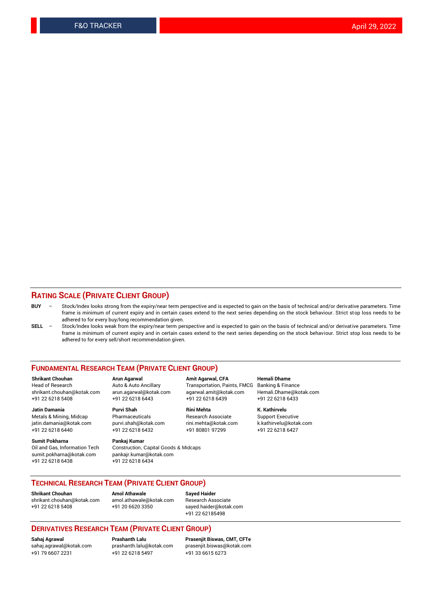#### **RATING SCALE (PRIVATE CLIENT GROUP)**

- **BUY**  Stock/Index looks strong from the expiry/near term perspective and is expected to gain on the basis of technical and/or derivative parameters. Time frame is minimum of current expiry and in certain cases extend to the next series depending on the stock behaviour. Strict stop loss needs to be adhered to for every buy/long recommendation given.
- **SELL** Stock/Index looks weak from the expiry/near term perspective and is expected to gain on the basis of technical and/or derivative parameters. Time frame is minimum of current expiry and in certain cases extend to the next series depending on the stock behaviour. Strict stop loss needs to be adhered to for every sell/short recommendation given.

#### **FUNDAMENTAL RESEARCH TEAM (PRIVATE CLIENT GROUP)**

**Shrikant Chouhan Arun Agarwal Amit Agarwal, CFA Hemali Dhame** +91 22 6218 5408 +91 22 6218 6443 +91 22 6218 6439 +91 22 6218 6433

jatin.damania@kotak.com +91 22 6218 6440 +91 22 6218 6432 +91 80801 97299 +91 22 6218 6427

**Sumit Pokharna** Pankaj Kumar<br>Oil and Gas, Information Tech Construction, sumit.pokharna@kotak.com pankajr.kumar@kotak.com +91 22 6218 6438 +91 22 6218 6434

**Jatin Damania Purvi Shah Rini Mehta K. Kathirvelu**

Construction, Capital Goods & Midcaps

Transportation, Paints, FMCG Banking & Finance shrikant.chouhan@kotak.com arun.agarwal@kotak.com agarwal.amit@kotak.com Hemali.Dhame@kotak.com

Metals & Mining, Midcap Pharmaceuticals Research Associate Support Executive<br>
jatin.damania@kotak.com purvi.shah@kotak.com rini.mehta@kotak.com k.kathirvelu@kotak.com

#### **TECHNICAL RESEARCH TEAM (PRIVATE CLIENT GROUP)**

[shrikant.chouhan@kotak.com](mailto:shrikant.chouhan@kotak.com) [amol.athawale@kotak.com](mailto:amol.athawale@kotak.com) Research Associate +91 22 6218 5408 +91 20 6620 3350 [sayed.haider@kotak.com](mailto:sayed.haider@kotak.com)

**Shrikant Chouhan Amol Athawale Sayed Haider**

+91 22 62185498

#### **DERIVATIVES RESEARCH TEAM (PRIVATE CLIENT GROUP)**

+91 79 6607 2231 +91 22 6218 5497 +91 33 6615 6273

**Sahaj Agrawal Prashanth Lalu Prasenjit Biswas, CMT, CFTe** [sahaj.agrawal@kotak.com](mailto:sahaj.agrawal@kotak.com) [prashanth.lalu@kotak.com](mailto:prashanth.lalu@kotak.com) [prasenjit.biswas@kotak.com](mailto:prasenjit.biswas@kotak.com)